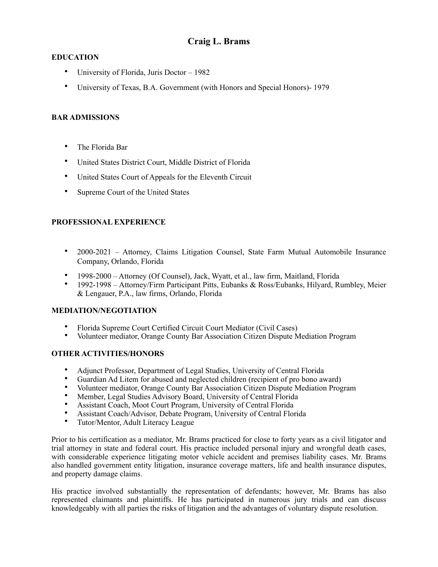# **Craig L. Brams**

### **EDUCATION**

- University of Florida, Juris Doctor 1982
- University of Texas, B.A. Government (with Honors and Special Honors)- 1979

### **BAR ADMISSIONS**

- The Florida Bar
- United States District Court, Middle District of Florida
- United States Court of Appeals for the Eleventh Circuit
- Supreme Court of the United States

## **PROFESSIONAL EXPERIENCE**

- 2000-2021 Attorney, Claims Litigation Counsel, State Farm Mutual Automobile Insurance Company, Orlando, Florida
- 1998-2000 Attorney (Of Counsel), Jack, Wyatt, et al., law firm, Maitland, Florida
- 1992-1998 Attorney/Firm Participant Pitts, Eubanks & Ross/Eubanks, Hilyard, Rumbley, Meier & Lengauer, P.A., law firms, Orlando, Florida

#### **MEDIATION/NEGOTIATION**

- Florida Supreme Court Certified Circuit Court Mediator (Civil Cases)<br>• Volunteer mediator Orange County Bar Association Citizen Dispute M
- Volunteer mediator, Orange County Bar Association Citizen Dispute Mediation Program

#### **OTHER ACTIVITIES/HONORS**

- Adjunct Professor, Department of Legal Studies, University of Central Florida
- Guardian Ad Litem for abused and neglected children (recipient of pro bono award)
- Volunteer mediator, Orange County Bar Association Citizen Dispute Mediation Program
- Member, Legal Studies Advisory Board, University of Central Florida
- Assistant Coach, Moot Court Program, University of Central Florida
- Assistant Coach/Advisor, Debate Program, University of Central Florida
- Tutor/Mentor, Adult Literacy League

Prior to his certification as a mediator, Mr. Brams practiced for close to forty years as a civil litigator and trial attorney in state and federal court. His practice included personal injury and wrongful death cases, with considerable experience litigating motor vehicle accident and premises liability cases. Mr. Brams also handled government entity litigation, insurance coverage matters, life and health insurance disputes, and property damage claims.

His practice involved substantially the representation of defendants; however, Mr. Brams has also represented claimants and plaintiffs. He has participated in numerous jury trials and can discuss knowledgeably with all parties the risks of litigation and the advantages of voluntary dispute resolution.